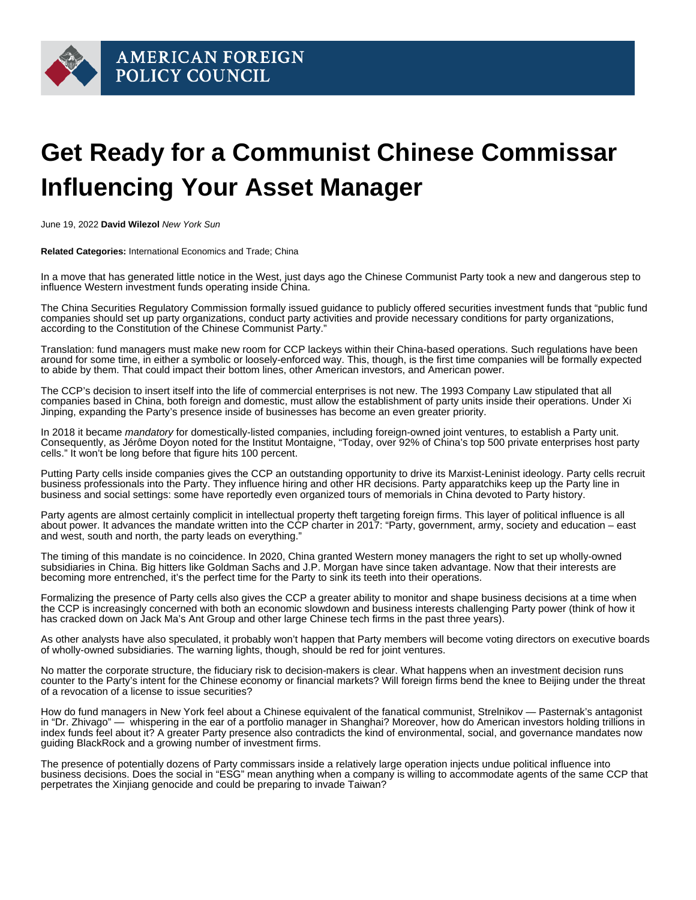## Get Ready for a Communist Chinese Commissar Influencing Your Asset Manager

June 19, 2022 David Wilezol New York Sun

Related Categories: International Economics and Trade; China

In a move that has generated little notice in the West, just days ago the Chinese Communist Party took a new and dangerous step to influence Western investment funds operating inside China.

The China Securities Regulatory Commission formally [issued](https://www.ignitesasia.com/lead/c/3639434/467624/?referrerId=5) guidance to publicly offered securities investment funds that "public fund companies should set up party organizations, conduct party activities and provide necessary conditions for party organizations, according to the Constitution of the Chinese Communist Party."

Translation: fund managers must make new room for CCP lackeys within their China-based operations. Such regulations have been around for some time, in either a symbolic or loosely-enforced way. This, though, is the first time companies will be formally expected to abide by them. That could impact their bottom lines, other American investors, and American power.

The CCP's decision to insert itself into the life of commercial enterprises is not new. The 1993 Company Law stipulated that all companies based in China, both foreign and domestic, must allow the establishment of party units inside their operations. Under Xi Jinping, expanding the Party's presence inside of businesses has become an even greater priority.

In 2018 it became mandatory for domestically-listed companies, including foreign-owned joint ventures, to establish a Party unit. Consequently, as Jérôme Doyon [noted](https://www.institutmontaigne.org/en/blog/influence-without-ownership-chinese-communist-party-targets-private-sector) for the Institut Montaigne, "Today, over 92% of China's top 500 private enterprises host party cells." It won't be long before that figure hits 100 percent.

Putting Party cells inside companies gives the CCP an outstanding opportunity to drive its Marxist-Leninist ideology. Party cells recruit business professionals into the Party. They influence hiring and other HR decisions. Party apparatchiks keep up the Party line in business and social settings: some have [reportedly](https://www.ignitesasia.com/lead/c/3639434/467624/?referrerId=5) even organized tours of memorials in China devoted to Party history.

Party agents are almost certainly complicit in intellectual property theft targeting foreign firms. This layer of political influence is all about power. It advances the mandate written into the CCP [charter](https://merics.org/en/report/party-leads-everything) in 2017: "Party, government, army, society and education – east and west, south and north, the party leads on everything."

The timing of this mandate is no coincidence. In 2020, China granted Western money managers the right to set up wholly-owned subsidiaries in China. Big hitters like Goldman Sachs and J.P. Morgan have since taken advantage. Now that their interests are becoming more entrenched, it's the perfect time for the Party to sink its teeth into their operations.

Formalizing the presence of Party cells also gives the CCP a greater ability to monitor and shape business decisions at a time when the CCP is increasingly concerned with both an economic slowdown and business interests challenging Party power (think of how it has cracked down on Jack Ma's Ant Group and other large Chinese tech firms in the past three years).

As other analysts have also [speculated](https://www.ignitesasia.com/lead/c/3639434/467624/?referrerId=5), it probably won't happen that Party members will become voting directors on executive boards of wholly-owned subsidiaries. The warning lights, though, should be red for joint ventures.

No matter the corporate structure, the fiduciary risk to decision-makers is clear. What happens when an investment decision runs counter to the Party's intent for the Chinese economy or financial markets? Will foreign firms bend the knee to Beijing under the threat of a revocation of a license to issue securities?

How do fund managers in New York feel about a Chinese equivalent of the fanatical communist, Strelnikov — Pasternak's antagonist in "Dr. Zhivago" — whispering in the ear of a portfolio manager in Shanghai? Moreover, how do American investors holding trillions in index funds feel about it? A greater Party presence also contradicts the kind of environmental, social, and governance mandates now guiding BlackRock and a growing number of investment firms.

The presence of potentially dozens of Party commissars inside a relatively large operation injects undue political influence into business decisions. Does the social in "ESG" mean anything when a company is willing to accommodate agents of the same CCP that perpetrates the Xinjiang genocide and could be preparing to invade Taiwan?